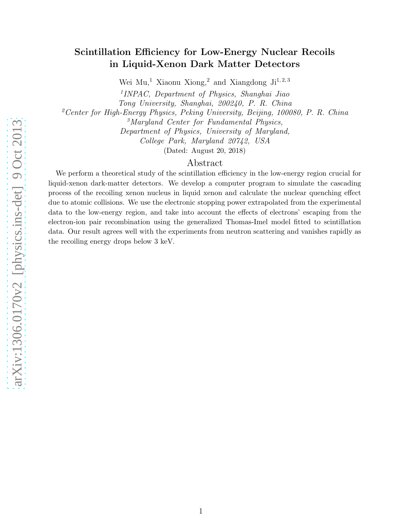## Scintillation Efficiency for Low-Energy Nuclear Recoils in Liquid-Xenon Dark Matter Detectors

Wei Mu,<sup>1</sup> Xiaonu Xiong,<sup>2</sup> and Xiangdong Ji<sup>1,2,3</sup>

1 INPAC, Department of Physics, Shanghai Jiao

Tong University, Shanghai, 200240, P. R. China

<sup>2</sup> Center for High-Energy Physics, Peking University, Beijing, 100080, P. R. China

<sup>3</sup>Maryland Center for Fundamental Physics,

Department of Physics, University of Maryland,

College Park, Maryland 20742, USA

(Dated: August 20, 2018)

## Abstract

We perform a theoretical study of the scintillation efficiency in the low-energy region crucial for liquid-xenon dark-matter detectors. We develop a computer program to simulate the cascading process of the recoiling xenon nucleus in liquid xenon and calculate the nuclear quenching effect due to atomic collisions. We use the electronic stopping power extrapolated from the experimental data to the low-energy region, and take into account the effects of electrons' escaping from the electron-ion pair recombination using the generalized Thomas-Imel model fitted to scintillation data. Our result agrees well with the experiments from neutron scattering and vanishes rapidly as the recoiling energy drops below 3 keV.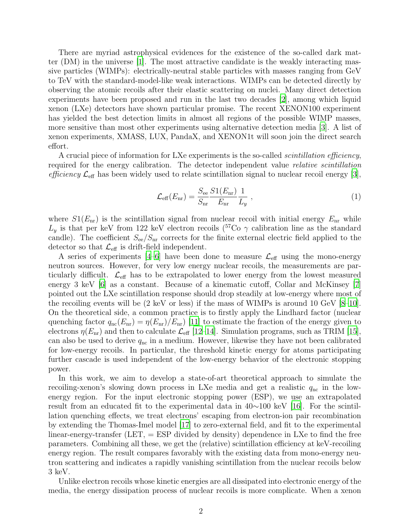There are myriad astrophysical evidences for the existence of the so-called dark matter (DM) in the universe [\[1](#page-6-0)]. The most attractive candidate is the weakly interacting massive particles (WIMPs): electrically-neutral stable particles with masses ranging from GeV to TeV with the standard-model-like weak interactions. WIMPs can be detected directly by observing the atomic recoils after their elastic scattering on nuclei. Many direct detection experiments have been proposed and run in the last two decades [\[2](#page-6-1)], among which liquid xenon (LXe) detectors have shown particular promise. The recent XENON100 experiment has yielded the best detection limits in almost all regions of the possible WIMP masses, more sensitive than most other experiments using alternative detection media [\[3](#page-6-2)]. A list of xenon experiments, XMASS, LUX, PandaX, and XENON1t will soon join the direct search effort.

A crucial piece of information for LXe experiments is the so-called scintillation efficiency, required for the energy calibration. The detector independent value relative scintillation efficiency  $\mathcal{L}_{\text{eff}}$  has been widely used to relate scintillation signal to nuclear recoil energy [\[3\]](#page-6-2),

$$
\mathcal{L}_{\text{eff}}(E_{\text{nr}}) = \frac{S_{\text{ee}}}{S_{\text{nr}}} \frac{S1(E_{\text{nr}})}{E_{\text{nr}}} \frac{1}{L_y} \,, \tag{1}
$$

where  $S1(E_{\rm nr})$  is the scintillation signal from nuclear recoil with initial energy  $E_{\rm nr}$  while  $L_y$  is that per keV from 122 keV electron recoils (<sup>57</sup>Co  $\gamma$  calibration line as the standard candle). The coefficient  $S_{ee}/S_{nr}$  corrects for the finite external electric field applied to the detector so that  $\mathcal{L}_{\text{eff}}$  is drift-field independent.

A series of experiments  $[4-6]$  have been done to measure  $\mathcal{L}_{\text{eff}}$  using the mono-energy neutron sources. However, for very low energy nuclear recoils, the measurements are particularly difficult.  $\mathcal{L}_{\text{eff}}$  has to be extrapolated to lower energy from the lowest measured energy 3 keV  $[6]$  as a constant. Because of a kinematic cutoff, Collar and McKinsey  $[7]$ pointed out the LXe scintillation response should drop steadily at low-energy where most of the recoiling events will be  $(2 \text{ keV} \text{ or less})$  if the mass of WIMPs is around 10 GeV  $[8-10]$ . On the theoretical side, a common practice is to firstly apply the Lindhard factor (nuclear quenching factor  $q_{\rm nc}(E_{\rm nr}) = \eta(E_{\rm nr})/E_{\rm nr}$  [\[11\]](#page-6-8) to estimate the fraction of the energy given to electrons  $\eta(E_{\rm nr})$  and then to calculate  $\mathcal{L}_{\rm eff}$  [\[12](#page-6-9)[–14\]](#page-6-10). Simulation programs, such as TRIM [\[15\]](#page-6-11), can also be used to derive  $q_{nc}$  in a medium. However, likewise they have not been calibrated for low-energy recoils. In particular, the threshold kinetic energy for atoms participating further cascade is used independent of the low-energy behavior of the electronic stopping power.

In this work, we aim to develop a state-of-art theoretical approach to simulate the recoiling-xenon's slowing down process in LXe media and get a realistic  $q_{nc}$  in the lowenergy region. For the input electronic stopping power (ESP), we use an extrapolated result from an educated fit to the experimental data in 40∼100 keV [\[16\]](#page-6-12). For the scintillation quenching effects, we treat electrons' escaping from electron-ion pair recombination by extending the Thomas-Imel model [\[17\]](#page-6-13) to zero-external field, and fit to the experimental linear-energy-transfer (LET,  $=$  ESP divided by density) dependence in LXe to find the free parameters. Combining all these, we get the (relative) scintillation efficiency at keV-recoiling energy region. The result compares favorably with the existing data from mono-energy neutron scattering and indicates a rapidly vanishing scintillation from the nuclear recoils below 3 keV.

Unlike electron recoils whose kinetic energies are all dissipated into electronic energy of the media, the energy dissipation process of nuclear recoils is more complicate. When a xenon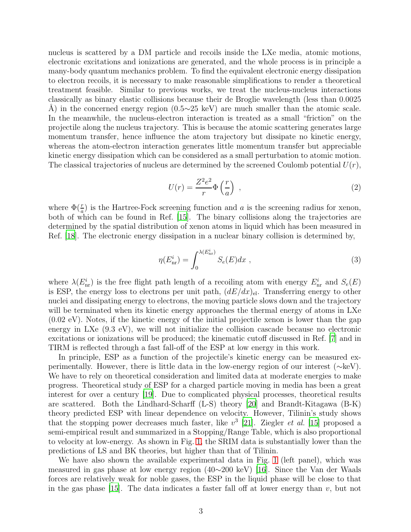nucleus is scattered by a DM particle and recoils inside the LXe media, atomic motions, electronic excitations and ionizations are generated, and the whole process is in principle a many-body quantum mechanics problem. To find the equivalent electronic energy dissipation to electron recoils, it is necessary to make reasonable simplifications to render a theoretical treatment feasible. Similar to previous works, we treat the nucleus-nucleus interactions classically as binary elastic collisions because their de Broglie wavelength (less than 0.0025 A) in the concerned energy region  $(0.5~25~\text{keV})$  are much smaller than the atomic scale. In the meanwhile, the nucleus-electron interaction is treated as a small "friction" on the projectile along the nucleus trajectory. This is because the atomic scattering generates large momentum transfer, hence influence the atom trajectory but dissipate no kinetic energy, whereas the atom-electron interaction generates little momentum transfer but appreciable kinetic energy dissipation which can be considered as a small perturbation to atomic motion. The classical trajectories of nucleus are determined by the screened Coulomb potential  $U(r)$ ,

$$
U(r) = \frac{Z^2 e^2}{r} \Phi\left(\frac{r}{a}\right) \tag{2}
$$

where  $\Phi(\frac{r}{a})$  is the Hartree-Fock screening function and a is the screening radius for xenon, both of which can be found in Ref. [\[15](#page-6-11)]. The binary collisions along the trajectories are determined by the spatial distribution of xenon atoms in liquid which has been measured in Ref. [\[18\]](#page-6-14). The electronic energy dissipation in a nuclear binary collision is determined by,

$$
\eta(E_{\rm nr}^i) = \int_0^{\lambda(E_{\rm nr}^i)} S_e(E) dx \tag{3}
$$

where  $\lambda(E_{\text{nr}}^i)$  is the free flight path length of a recoiling atom with energy  $E_{\text{nr}}^i$  and  $S_e(E)$ is ESP, the energy loss to electrons per unit path,  $(dE/dx)_{el}$ . Transferring energy to other nuclei and dissipating energy to electrons, the moving particle slows down and the trajectory will be terminated when its kinetic energy approaches the thermal energy of atoms in LXe (0.02 eV). Notes, if the kinetic energy of the initial projectile xenon is lower than the gap energy in LXe (9.3 eV), we will not initialize the collision cascade because no electronic excitations or ionizations will be produced; the kinematic cutoff discussed in Ref. [\[7\]](#page-6-5) and in TIRM is reflected through a fast fall-off of the ESP at low energy in this work.

In principle, ESP as a function of the projectile's kinetic energy can be measured experimentally. However, there is little data in the low-energy region of our interest (∼keV). We have to rely on theoretical consideration and limited data at moderate energies to make progress. Theoretical study of ESP for a charged particle moving in media has been a great interest for over a century [\[19](#page-6-15)]. Due to complicated physical processes, theoretical results are scattered. Both the Lindhard-Scharff (L-S) theory [\[20](#page-6-16)] and Brandt-Kitagawa (B-K) theory predicted ESP with linear dependence on velocity. However, Tilinin's study shows that the stopping power decreases much faster, like  $v^3$  [\[21\]](#page-6-17). Ziegler *et al.* [\[15](#page-6-11)] proposed a semi-empirical result and summarized in a Stopping/Range Table, which is also proportional to velocity at low-energy. As shown in Fig. [1,](#page-3-0) the SRIM data is substantially lower than the predictions of LS and BK theories, but higher than that of Tilinin.

We have also shown the available experimental data in Fig. [1](#page-3-0) (left panel), which was measured in gas phase at low energy region (40∼200 keV) [\[16](#page-6-12)]. Since the Van der Waals forces are relatively weak for noble gases, the ESP in the liquid phase will be close to that in the gas phase [\[15](#page-6-11)]. The data indicates a faster fall off at lower energy than  $v$ , but not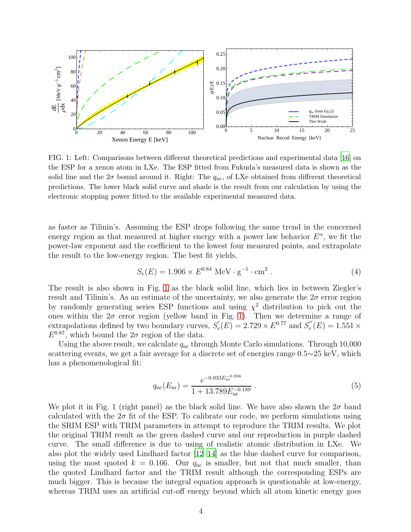

<span id="page-3-0"></span>FIG. 1: Left: Comparisons between different theoretical predictions and experimental data [\[16](#page-6-12)] on the ESP for a xenon atom in LXe. The ESP fitted from Fukuda's measured data is shown as the solid line and the  $2\sigma$  bound around it. Right: The  $q_{\text{nc}}$ , of LXe obtained from different theoretical predictions. The lower black solid curve and shade is the result from our calculation by using the electronic stopping power fitted to the available experimental measured data.

as faster as Tilinin's. Assuming the ESP drops following the same trend in the concerned energy region as that measured at higher energy with a power law behavior  $E^{\alpha}$ , we fit the power-law exponent and the coefficient to the lowest four measured points, and extrapolate the result to the low-energy region. The best fit yields,

$$
S_e(E) = 1.906 \times E^{0.84} \text{ MeV} \cdot \text{g}^{-1} \cdot \text{cm}^2 \ . \tag{4}
$$

The result is also shown in Fig. [1](#page-3-0) as the black solid line, which lies in between Ziegler's result and Tilinin's. As an estimate of the uncertainty, we also generate the  $2\sigma$  error region by randomly generating series ESP functions and using  $\chi^2$  distribution to pick out the ones within the  $2\sigma$  error region (yellow band in Fig. [1\)](#page-3-0). Then we determine a range of extrapolations defined by two boundary curves,  $S'_{\epsilon}$  $e(E) = 2.729 \times E^{0.77}$  and  $S_e''$  $e''_e(E) = 1.551 \times$  $E^{0.87}$ , which bound the  $2\sigma$  region of the data.

Using the above result, we calculate  $q_{nc}$  through Monte Carlo simulations. Through 10,000 scattering events, we get a fair average for a discrete set of energies range 0.5∼25 keV, which has a phenomenological fit:

$$
q_{\rm nc}(E_{\rm nr}) = \frac{e^{-0.033 E_{\rm nr}^{-0.958}}}{1 + 13.789 E_{\rm nr}^{-0.189}} \,. \tag{5}
$$

We plot it in Fig. 1 (right panel) as the black solid line. We have also shown the  $2\sigma$  band calculated with the  $2\sigma$  fit of the ESP. To calibrate our code, we perform simulations using the SRIM ESP with TRIM parameters in attempt to reproduce the TRIM results. We plot the original TRIM result as the green dashed curve and our reproduction in purple dashed curve. The small difference is due to using of realistic atomic distribution in LXe. We also plot the widely used Lindhard factor [\[12](#page-6-9)[–14](#page-6-10)] as the blue dashed curve for comparison, using the most quoted  $k = 0.166$ . Our  $q_{nc}$  is smaller, but not that much smaller, than the quoted Lindhard factor and the TRIM result although the corresponding ESPs are much bigger. This is because the integral equation approach is questionable at low-energy, whereas TRIM uses an artificial cut-off energy beyond which all atom kinetic energy goes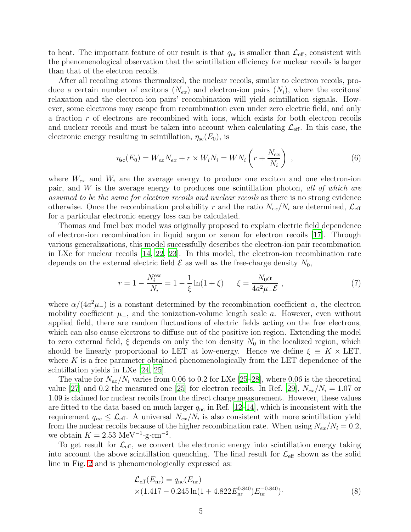to heat. The important feature of our result is that  $q_{nc}$  is smaller than  $\mathcal{L}_{eff}$ , consistent with the phenomenological observation that the scintillation efficiency for nuclear recoils is larger than that of the electron recoils.

After all recoiling atoms thermalized, the nuclear recoils, similar to electron recoils, produce a certain number of excitons  $(N_{ex})$  and electron-ion pairs  $(N_i)$ , where the excitons' relaxation and the electron-ion pairs' recombination will yield scintillation signals. However, some electrons may escape from recombination even under zero electric field, and only a fraction r of electrons are recombined with ions, which exists for both electron recoils and nuclear recoils and must be taken into account when calculating  $\mathcal{L}_{\text{eff}}$ . In this case, the electronic energy resulting in scintillation,  $\eta_{\rm sc}(E_0)$ , is

$$
\eta_{\rm sc}(E_0) = W_{ex} N_{ex} + r \times W_i N_i = W N_i \left( r + \frac{N_{ex}}{N_i} \right) , \qquad (6)
$$

where  $W_{ex}$  and  $W_i$  are the average energy to produce one exciton and one electron-ion pair, and W is the average energy to produces one scintillation photon, all of which are assumed to be the same for electron recoils and nuclear recoils as there is no strong evidence otherwise. Once the recombination probability r and the ratio  $N_{ex}/N_i$  are determined,  $\mathcal{L}_{\text{eff}}$ for a particular electronic energy loss can be calculated.

Thomas and Imel box model was originally proposed to explain electric field dependence of electron-ion recombination in liquid argon or xenon for electron recoils [\[17\]](#page-6-13). Through various generalizations, this model successfully describes the electron-ion pair recombination in LXe for nuclear recoils [\[14](#page-6-10), [22,](#page-6-18) [23](#page-6-19)]. In this model, the electron-ion recombination rate depends on the external electric field  $\mathcal E$  as well as the free-charge density  $N_0$ ,

$$
r = 1 - \frac{N_i^{\text{esc}}}{N_i} = 1 - \frac{1}{\xi} \ln(1 + \xi) \qquad \xi = \frac{N_0 \alpha}{4a^2 \mu_{-} \mathcal{E}},\tag{7}
$$

where  $\alpha/(4a^2\mu)$  is a constant determined by the recombination coefficient  $\alpha$ , the electron mobility coefficient  $\mu$ <sub>−</sub>, and the ionization-volume length scale a. However, even without applied field, there are random fluctuations of electric fields acting on the free electrons, which can also cause electrons to diffuse out of the positive ion region. Extending the model to zero external field,  $\xi$  depends on only the ion density  $N_0$  in the localized region, which should be linearly proportional to LET at low-energy. Hence we define  $\xi \equiv K \times \text{LET}$ , where  $K$  is a free parameter obtained phenomenologically from the LET dependence of the scintillation yields in LXe [\[24](#page-6-20), [25](#page-6-21)].

The value for  $N_{ex}/N_i$  varies from 0.06 to 0.2 for LXe [\[25](#page-6-21)[–28\]](#page-6-22), where 0.06 is the theoretical value [\[27](#page-6-23)] and 0.2 the measured one [\[25](#page-6-21)] for electron recoils. In Ref. [\[29\]](#page-6-24),  $N_{ex}/N_i = 1.07$  or 1.09 is claimed for nuclear recoils from the direct charge measurement. However, these values are fitted to the data based on much larger  $q_{nc}$  in Ref. [\[12](#page-6-9)[–14](#page-6-10)], which is inconsistent with the requirement  $q_{nc} \leq \mathcal{L}_{\text{eff}}$ . A universal  $N_{ex}/N_i$  is also consistent with more scintillation yield from the nuclear recoils because of the higher recombination rate. When using  $N_{ex}/N_i = 0.2$ , we obtain  $K = 2.53 \text{ MeV}^{-1} \cdot \text{g} \cdot \text{cm}^{-2}$ .

To get result for  $\mathcal{L}_{\text{eff}}$ , we convert the electronic energy into scintillation energy taking into account the above scintillation quenching. The final result for  $\mathcal{L}_{\text{eff}}$  shown as the solid line in Fig. [2](#page-5-0) and is phenomenologically expressed as:

$$
\mathcal{L}_{\text{eff}}(E_{\text{nr}}) = q_{\text{nc}}(E_{\text{nr}})
$$
  
×(1.417 - 0.245 ln(1 + 4.822E<sub>nr</sub><sup>0.840</sup>)E<sub>nr</sub><sup>-0.840</sup>). (8)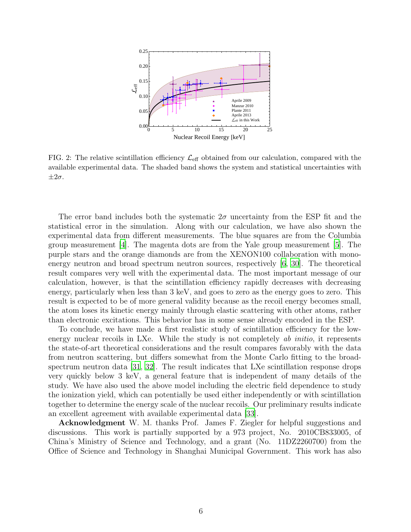

<span id="page-5-0"></span>FIG. 2: The relative scintillation efficiency  $\mathcal{L}_{\text{eff}}$  obtained from our calculation, compared with the available experimental data. The shaded band shows the system and statistical uncertainties with  $\pm 2\sigma$ .

The error band includes both the systematic  $2\sigma$  uncertainty from the ESP fit and the statistical error in the simulation. Along with our calculation, we have also shown the experimental data from different measurements. The blue squares are from the Columbia group measurement [\[4](#page-6-3)]. The magenta dots are from the Yale group measurement [\[5](#page-6-25)]. The purple stars and the orange diamonds are from the XENON100 collaboration with monoenergy neutron and broad spectrum neutron sources, respectively [\[6](#page-6-4), [30\]](#page-6-26). The theoretical result compares very well with the experimental data. The most important message of our calculation, however, is that the scintillation efficiency rapidly decreases with decreasing energy, particularly when less than 3 keV, and goes to zero as the energy goes to zero. This result is expected to be of more general validity because as the recoil energy becomes small, the atom loses its kinetic energy mainly through elastic scattering with other atoms, rather than electronic excitations. This behavior has in some sense already encoded in the ESP.

To conclude, we have made a first realistic study of scintillation efficiency for the lowenergy nuclear recoils in LXe. While the study is not completely *ab initio*, it represents the state-of-art theoretical considerations and the result compares favorably with the data from neutron scattering, but differs somewhat from the Monte Carlo fitting to the broadspectrum neutron data [\[31](#page-6-27), [32](#page-6-28)]. The result indicates that LXe scintillation response drops very quickly below 3 keV, a general feature that is independent of many details of the study. We have also used the above model including the electric field dependence to study the ionization yield, which can potentially be used either independently or with scintillation together to determine the energy scale of the nuclear recoils. Our preliminary results indicate an excellent agreement with available experimental data [\[33\]](#page-6-29).

Acknowledgment W. M. thanks Prof. James F. Ziegler for helpful suggestions and discussions. This work is partially supported by a 973 project, No. 2010CB833005, of China's Ministry of Science and Technology, and a grant (No. 11DZ2260700) from the Office of Science and Technology in Shanghai Municipal Government. This work has also